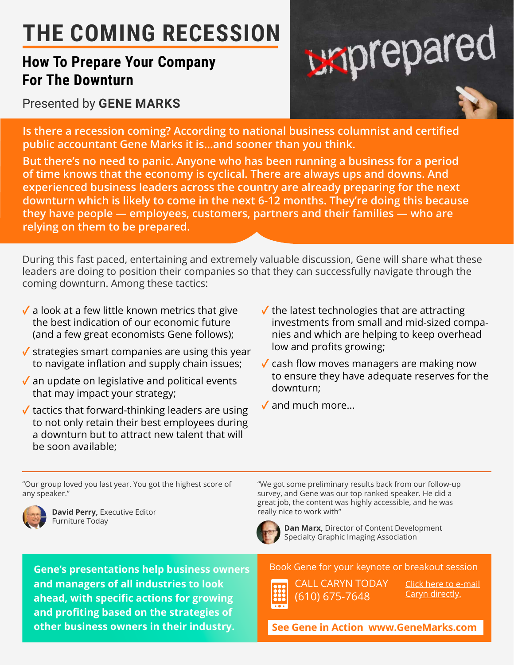## **THE COMING RECESSION**

## **How To Prepare Your Company For The Downturn**

Presented by **GENE MARKS**



**Is there a recession coming? According to national business columnist and certified public accountant Gene Marks it is...and sooner than you think.**

**But there's no need to panic. Anyone who has been running a business for a period of time knows that the economy is cyclical. There are always ups and downs. And experienced business leaders across the country are already preparing for the next downturn which is likely to come in the next 6-12 months. They're doing this because they have people — employees, customers, partners and their families — who are relying on them to be prepared.**

During this fast paced, entertaining and extremely valuable discussion, Gene will share what these leaders are doing to position their companies so that they can successfully navigate through the coming downturn. Among these tactics:

- **✓** a look at a few little known metrics that give the best indication of our economic future (and a few great economists Gene follows);
- **✓** strategies smart companies are using this year to navigate inflation and supply chain issues;
- **✓** an update on legislative and political events that may impact your strategy;
- **✓** tactics that forward-thinking leaders are using to not only retain their best employees during a downturn but to attract new talent that will be soon available;
- **✓** the latest technologies that are attracting investments from small and mid-sized companies and which are helping to keep overhead low and profits growing;
- **✓** cash flow moves managers are making now to ensure they have adequate reserves for the downturn;
- **✓** and much more...

"Our group loved you last year. You got the highest score of any speaker."

**Gene's presentations help business owners** 

**and managers of all industries to look ahead, with specific actions for growing and profiting based on the strategies of** 



**David Perry,** Executive Editor **really his example 20 years of the UP** really nice to work with"

"We got some preliminary results back from our follow-up survey, and Gene was our top ranked speaker. He did a great job, the content was highly accessible, and he was



Furniture Today **Dan Marx,** Director of Content Development Specialty Graphic Imaging Association

Book Gene for your keynote or breakout session



CALL CARYN TODAY (610) 675-7648

[Click here to e-mail](mailto:caryn%40marksgroup.net?subject=Can%20I%20get%20Gene%20Marks%20for%20my%20event?) Caryn directly.

**other business owners in their industry. [See Gene in Action www.GeneMarks.com](http://www.genemarks.com)**